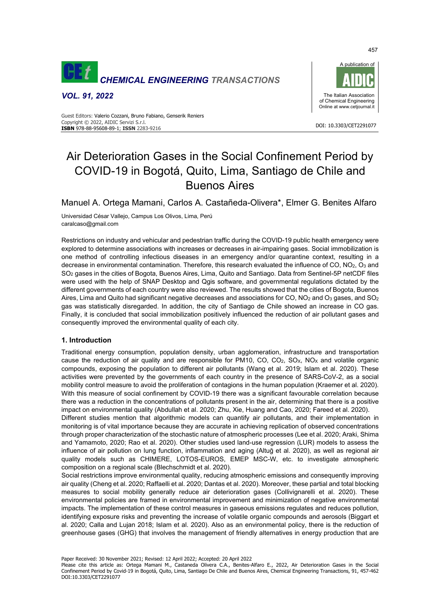

*VOL. 91, 2022*



#### DOI: 10.3303/CET2291077 **ISBN** 978-88-95608-89-1; **ISSN** 2283-9216 Guest Editors: Valerio Cozzani, Bruno Fabiano, Genserik Reniers Copyright © 2022, AIDIC Servizi S.r.l.

# Air Deterioration Gases in the Social Confinement Period by COVID-19 in Bogotá, Quito, Lima, Santiago de Chile and Buenos Aires

Manuel A. Ortega Mamani, Carlos A. Castañeda-Olivera\*, Elmer G. Benites Alfaro

Universidad César Vallejo, Campus Los Olivos, Lima, Perú caralcaso@gmail.com

Restrictions on industry and vehicular and pedestrian traffic during the COVID-19 public health emergency were explored to determine associations with increases or decreases in air-impairing gases. Social immobilization is one method of controlling infectious diseases in an emergency and/or quarantine context, resulting in a decrease in environmental contamination. Therefore, this research evaluated the influence of CO, NO<sub>2</sub>, O<sub>3</sub> and SO2 gases in the cities of Bogota, Buenos Aires, Lima, Quito and Santiago. Data from Sentinel-5P netCDF files were used with the help of SNAP Desktop and Qgis software, and governmental regulations dictated by the different governments of each country were also reviewed. The results showed that the cities of Bogota, Buenos Aires, Lima and Quito had significant negative decreases and associations for CO, NO<sub>2</sub> and O<sub>3</sub> gases, and SO<sub>2</sub> gas was statistically disregarded. In addition, the city of Santiago de Chile showed an increase in CO gas. Finally, it is concluded that social immobilization positively influenced the reduction of air pollutant gases and consequently improved the environmental quality of each city.

## **1. Introduction**

Traditional energy consumption, population density, urban agglomeration, infrastructure and transportation cause the reduction of air quality and are responsible for PM10, CO, CO<sub>2</sub>, SO<sub>X</sub>, NO<sub>X</sub> and volatile organic compounds, exposing the population to different air pollutants (Wang et al. 2019; Islam et al. 2020). These activities were prevented by the governments of each country in the presence of SARS-CoV-2, as a social mobility control measure to avoid the proliferation of contagions in the human population (Kraemer et al. 2020). With this measure of social confinement by COVID-19 there was a significant favourable correlation because there was a reduction in the concentrations of pollutants present in the air, determining that there is a positive impact on environmental quality (Abdullah et al. 2020; Zhu, Xie, Huang and Cao, 2020; Fareed et al. 2020).

Different studies mention that algorithmic models can quantify air pollutants, and their implementation in monitoring is of vital importance because they are accurate in achieving replication of observed concentrations through proper characterization of the stochastic nature of atmospheric processes (Lee et al. 2020; Araki, Shima and Yamamoto, 2020; Rao et al. 2020). Other studies used land-use regression (LUR) models to assess the influence of air pollution on lung function, inflammation and aging (Altuğ et al. 2020), as well as regional air quality models such as CHIMERE, LOTOS-EUROS, EMEP MSC-W, etc. to investigate atmospheric composition on a regional scale (Blechschmidt et al. 2020).

Social restrictions improve environmental quality, reducing atmospheric emissions and consequently improving air quality (Cheng et al. 2020; Raffaelli et al. 2020; Dantas et al. 2020). Moreover, these partial and total blocking measures to social mobility generally reduce air deterioration gases (Collivignarelli et al. 2020). These environmental policies are framed in environmental improvement and minimization of negative environmental impacts. The implementation of these control measures in gaseous emissions regulates and reduces pollution, identifying exposure risks and preventing the increase of volatile organic compounds and aerosols (Biggart et al. 2020; Calla and Lujan 2018; Islam et al. 2020). Also as an environmental policy, there is the reduction of greenhouse gases (GHG) that involves the management of friendly alternatives in energy production that are

Paper Received: 30 November 2021; Revised: 12 April 2022; Accepted: 20 April 2022

Please cite this article as: Ortega Mamani M., Castaneda Olivera C.A., Benites-Alfaro E., 2022, Air Deterioration Gases in the Social Confinement Period by Covid-19 in Bogotá, Quito, Lima, Santiago De Chile and Buenos Aires, Chemical Engineering Transactions, 91, 457-462 DOI:10.3303/CET2291077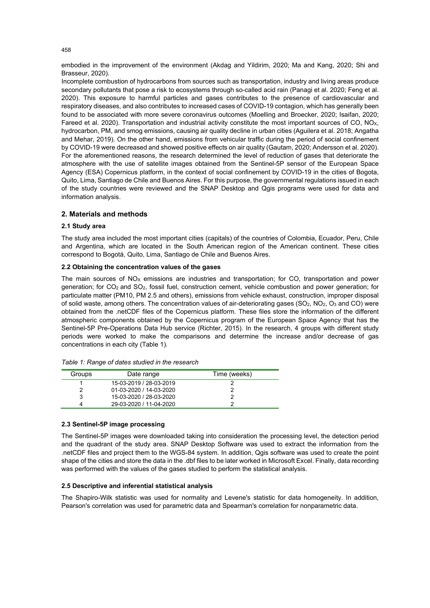embodied in the improvement of the environment (Akdag and Yildirim, 2020; Ma and Kang, 2020; Shi and Brasseur, 2020).

Incomplete combustion of hydrocarbons from sources such as transportation, industry and living areas produce secondary pollutants that pose a risk to ecosystems through so-called acid rain (Panagi et al. 2020; Feng et al. 2020). This exposure to harmful particles and gases contributes to the presence of cardiovascular and respiratory diseases, and also contributes to increased cases of COVID-19 contagion, which has generally been found to be associated with more severe coronavirus outcomes (Moelling and Broecker, 2020; Isaifan, 2020; Fareed et al. 2020). Transportation and industrial activity constitute the most important sources of CO, NO<sub>x</sub>, hydrocarbon, PM, and smog emissions, causing air quality decline in urban cities (Aguilera et al. 2018; Angatha and Mehar, 2019). On the other hand, emissions from vehicular traffic during the period of social confinement by COVID-19 were decreased and showed positive effects on air quality (Gautam, 2020; Andersson et al. 2020). For the aforementioned reasons, the research determined the level of reduction of gases that deteriorate the atmosphere with the use of satellite images obtained from the Sentinel-5P sensor of the European Space Agency (ESA) Copernicus platform, in the context of social confinement by COVID-19 in the cities of Bogota, Quito, Lima, Santiago de Chile and Buenos Aires. For this purpose, the governmental regulations issued in each of the study countries were reviewed and the SNAP Desktop and Qgis programs were used for data and information analysis.

## **2. Materials and methods**

## **2.1 Study area**

The study area included the most important cities (capitals) of the countries of Colombia, Ecuador, Peru, Chile and Argentina, which are located in the South American region of the American continent. These cities correspond to Bogotá, Quito, Lima, Santiago de Chile and Buenos Aires.

#### **2.2 Obtaining the concentration values of the gases**

The main sources of  $NO<sub>X</sub>$  emissions are industries and transportation; for CO, transportation and power generation; for CO2 and SO2, fossil fuel, construction cement, vehicle combustion and power generation; for particulate matter (PM10, PM 2.5 and others), emissions from vehicle exhaust, construction, improper disposal of solid waste, among others. The concentration values of air-deteriorating gases (SO<sub>2</sub>, NO<sub>2</sub>, O<sub>3</sub> and CO) were obtained from the .netCDF files of the Copernicus platform. These files store the information of the different atmospheric components obtained by the Copernicus program of the European Space Agency that has the Sentinel-5P Pre-Operations Data Hub service (Richter, 2015). In the research, 4 groups with different study periods were worked to make the comparisons and determine the increase and/or decrease of gas concentrations in each city (Table 1).

| Groups | Date range              | Time (weeks) |
|--------|-------------------------|--------------|
|        | 15-03-2019 / 28-03-2019 |              |
|        | 01-03-2020 / 14-03-2020 |              |
| 3      | 15-03-2020 / 28-03-2020 |              |
| Δ      | 29-03-2020 / 11-04-2020 |              |

### **2.3 Sentinel-5P image processing**

The Sentinel-5P images were downloaded taking into consideration the processing level, the detection period and the quadrant of the study area. SNAP Desktop Software was used to extract the information from the .netCDF files and project them to the WGS-84 system. In addition, Qgis software was used to create the point shape of the cities and store the data in the .dbf files to be later worked in Microsoft Excel. Finally, data recording was performed with the values of the gases studied to perform the statistical analysis.

### **2.5 Descriptive and inferential statistical analysis**

The Shapiro-Wilk statistic was used for normality and Levene's statistic for data homogeneity. In addition, Pearson's correlation was used for parametric data and Spearman's correlation for nonparametric data.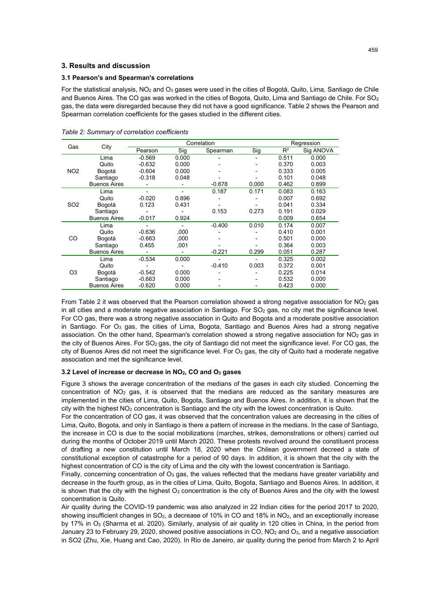## **3. Results and discussion**

## **3.1 Pearson's and Spearman's correlations**

For the statistical analysis, NO<sub>2</sub> and O<sub>3</sub> gases were used in the cities of Bogotá, Quito, Lima, Santiago de Chile and Buenos Aires. The CO gas was worked in the cities of Bogota, Quito, Lima and Santiago de Chile. For  $SO_2$ gas, the data were disregarded because they did not have a good significance. Table 2 shows the Pearson and Spearman correlation coefficients for the gases studied in the different cities.

| Gas             | City                | Correlation |       |          |       | Regression |           |
|-----------------|---------------------|-------------|-------|----------|-------|------------|-----------|
|                 |                     | Pearson     | Sig   | Spearman | Sig   | $R^2$      | Sig ANOVA |
| NO <sub>2</sub> | Lima                | $-0.569$    | 0.000 |          |       | 0.511      | 0.000     |
|                 | Quito               | $-0.632$    | 0.000 |          |       | 0.370      | 0.003     |
|                 | Bogotá              | $-0.604$    | 0.000 |          |       | 0.333      | 0.005     |
|                 | Santiago            | $-0.318$    | 0.048 |          |       | 0.101      | 0.048     |
|                 | <b>Buenos Aires</b> |             |       | $-0.678$ | 0.000 | 0.462      | 0.899     |
| SO <sub>2</sub> | Lima                |             |       | 0.187    | 0.171 | 0.083      | 0.163     |
|                 | Quito               | $-0.020$    | 0.896 |          |       | 0.007      | 0.692     |
|                 | Bogotá              | 0.123       | 0.431 |          |       | 0.041      | 0.334     |
|                 | Santiago            |             |       | 0.153    | 0.273 | 0.191      | 0.029     |
|                 | <b>Buenos Aires</b> | $-0.017$    | 0.924 |          |       | 0.009      | 0.654     |
| CO              | Lima                |             |       | $-0.400$ | 0.010 | 0.174      | 0.007     |
|                 | Quito               | $-0.636$    | ,000  |          |       | 0.410      | 0.001     |
|                 | Bogotá              | $-0.663$    | ,000  |          |       | 0.501      | 0.000     |
|                 | Santiago            | 0.455       | .001  |          |       | 0.364      | 0.003     |
|                 | <b>Buenos Aires</b> |             |       | $-0.221$ | 0.299 | 0.051      | 0.287     |
| O3              | Lima                | $-0.534$    | 0.000 |          |       | 0.325      | 0.002     |
|                 | Quito               |             |       | $-0.410$ | 0.003 | 0.372      | 0.001     |
|                 | Bogotá              | $-0.542$    | 0.000 |          |       | 0.225      | 0.014     |
|                 | Santiago            | $-0.663$    | 0.000 |          |       | 0.532      | 0.000     |
|                 | <b>Buenos Aires</b> | $-0.620$    | 0.000 |          |       | 0.423      | 0.000     |

*Table 2: Summary of correlation coefficients*

From Table 2 it was observed that the Pearson correlation showed a strong negative association for  $NO<sub>2</sub>$  gas in all cities and a moderate negative association in Santiago. For  $SO<sub>2</sub>$  gas, no city met the significance level. For CO gas, there was a strong negative association in Quito and Bogota and a moderate positive association in Santiago. For O<sub>3</sub> gas, the cities of Lima, Bogota, Santiago and Buenos Aires had a strong negative association. On the other hand, Spearman's correlation showed a strong negative association for NO<sub>2</sub> gas in the city of Buenos Aires. For SO<sub>2</sub> gas, the city of Santiago did not meet the significance level. For CO gas, the city of Buenos Aires did not meet the significance level. For  $O<sub>3</sub>$  gas, the city of Quito had a moderate negative association and met the significance level.

## **3.2 Level of increase or decrease in NO2, CO and O3 gases**

Figure 3 shows the average concentration of the medians of the gases in each city studied. Concerning the concentration of NO2 gas, it is observed that the medians are reduced as the sanitary measures are implemented in the cities of Lima, Quito, Bogota, Santiago and Buenos Aires. In addition, it is shown that the city with the highest  $NO<sub>2</sub>$  concentration is Santiago and the city with the lowest concentration is Quito.

For the concentration of CO gas, it was observed that the concentration values are decreasing in the cities of Lima, Quito, Bogota, and only in Santiago is there a pattern of increase in the medians. In the case of Santiago, the increase in CO is due to the social mobilizations (marches, strikes, demonstrations or others) carried out during the months of October 2019 until March 2020. These protests revolved around the constituent process of drafting a new constitution until March 18, 2020 when the Chilean government decreed a state of constitutional exception of catastrophe for a period of 90 days. In addition, it is shown that the city with the highest concentration of CO is the city of Lima and the city with the lowest concentration is Santiago.

Finally, concerning concentration of  $O_3$  gas, the values reflected that the medians have greater variability and decrease in the fourth group, as in the cities of Lima, Quito, Bogota, Santiago and Buenos Aires. In addition, it is shown that the city with the highest  $O<sub>3</sub>$  concentration is the city of Buenos Aires and the city with the lowest concentration is Quito.

Air quality during the COVID-19 pandemic was also analyzed in 22 Indian cities for the period 2017 to 2020, showing insufficient changes in  $SO_2$ , a decrease of 10% in CO and 18% in  $NO_2$ , and an exceptionally increase by 17% in O<sub>3</sub> (Sharma et al. 2020). Similarly, analysis of air quality in 120 cities in China, in the period from January 23 to February 29, 2020, showed positive associations in CO, NO<sub>2</sub> and O<sub>3</sub>, and a negative association in SO2 (Zhu, Xie, Huang and Cao, 2020). In Rio de Janeiro, air quality during the period from March 2 to April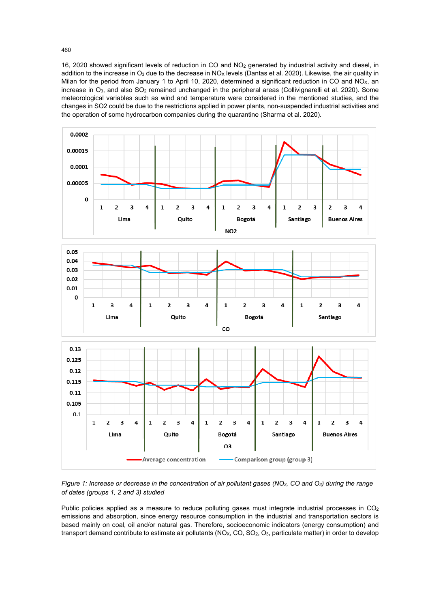16, 2020 showed significant levels of reduction in CO and NO2 generated by industrial activity and diesel, in addition to the increase in  $O_3$  due to the decrease in NO<sub>X</sub> levels (Dantas et al. 2020). Likewise, the air quality in Milan for the period from January 1 to April 10, 2020, determined a significant reduction in CO and NO<sub>x</sub>, an increase in  $O_3$ , and also  $SO_2$  remained unchanged in the peripheral areas (Collivignarelli et al. 2020). Some meteorological variables such as wind and temperature were considered in the mentioned studies, and the changes in SO2 could be due to the restrictions applied in power plants, non-suspended industrial activities and the operation of some hydrocarbon companies during the quarantine (Sharma et al. 2020).



*Figure 1: Increase or decrease in the concentration of air pollutant gases (NO2, CO and O3) during the range of dates (groups 1, 2 and 3) studied* 

Public policies applied as a measure to reduce polluting gases must integrate industrial processes in CO<sub>2</sub> emissions and absorption, since energy resource consumption in the industrial and transportation sectors is based mainly on coal, oil and/or natural gas. Therefore, socioeconomic indicators (energy consumption) and transport demand contribute to estimate air pollutants (NO<sub>X</sub>, CO, SO<sub>2</sub>, O<sub>3</sub>, particulate matter) in order to develop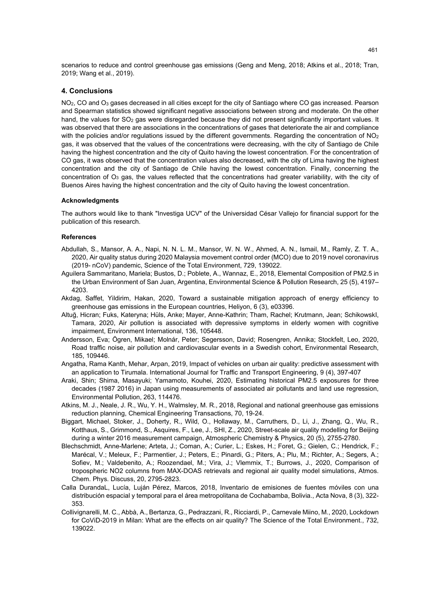scenarios to reduce and control greenhouse gas emissions (Geng and Meng, 2018; Atkins et al., 2018; Tran, 2019; Wang et al., 2019).

## **4. Conclusions**

NO<sub>2</sub>, CO and O<sub>3</sub> gases decreased in all cities except for the city of Santiago where CO gas increased. Pearson and Spearman statistics showed significant negative associations between strong and moderate. On the other hand, the values for  $SO<sub>2</sub>$  gas were disregarded because they did not present significantly important values. It was observed that there are associations in the concentrations of gases that deteriorate the air and compliance with the policies and/or regulations issued by the different governments. Regarding the concentration of  $NO<sub>2</sub>$ gas, it was observed that the values of the concentrations were decreasing, with the city of Santiago de Chile having the highest concentration and the city of Quito having the lowest concentration. For the concentration of CO gas, it was observed that the concentration values also decreased, with the city of Lima having the highest concentration and the city of Santiago de Chile having the lowest concentration. Finally, concerning the concentration of  $O_3$  gas, the values reflected that the concentrations had greater variability, with the city of Buenos Aires having the highest concentration and the city of Quito having the lowest concentration.

## **Acknowledgments**

The authors would like to thank "Investiga UCV" of the Universidad César Vallejo for financial support for the publication of this research.

#### **References**

- Abdullah, S., Mansor, A. A., Napi, N. N. L. M., Mansor, W. N. W., Ahmed, A. N., Ismail, M., Ramly, Z. T. A., 2020, Air quality status during 2020 Malaysia movement control order (MCO) due to 2019 novel coronavirus (2019- nCoV) pandemic, Science of the Total Environment, 729, 139022.
- Aguilera Sammaritano, Mariela; Bustos, D.; Poblete, A., Wannaz, E., 2018, Elemental Composition of PM2.5 in the Urban Environment of San Juan, Argentina, Environmental Science & Pollution Research, 25 (5), 4197– 4203.
- Akdag, Saffet, Yildirim, Hakan, 2020, Toward a sustainable mitigation approach of energy efficiency to greenhouse gas emissions in the European countries, Heliyon, 6 (3), e03396.
- Altuğ, Hicran; Fuks, Kateryna; Hüls, Anke; Mayer, Anne-Kathrin; Tham, Rachel; Krutmann, Jean; SchikowskI, Tamara, 2020, Air pollution is associated with depressive symptoms in elderly women with cognitive impairment, Environment International, 136, 105448.
- Andersson, Eva; Ögren, Mikael; Molnár, Peter; Segersson, David; Rosengren, Annika; Stockfelt, Leo, 2020, Road traffic noise, air pollution and cardiovascular events in a Swedish cohort, Environmental Research, 185, 109446.
- Angatha, Rama Kanth, Mehar, Arpan, 2019, Impact of vehicles on urban air quality: predictive assessment with an application to Tirumala. International Journal for Traffic and Transport Engineering, 9 (4), 397-407
- Araki, Shin; Shima, Masayuki; Yamamoto, Kouhei, 2020, Estimating historical PM2.5 exposures for three decades (1987 2016) in Japan using measurements of associated air pollutants and land use regression, Environmental Pollution, 263, 114476.
- Atkins, M. J., Neale, J. R., Wu, Y. H., Walmsley, M. R., 2018, Regional and national greenhouse gas emissions reduction planning, Chemical Engineering Transactions, 70, 19-24.
- Biggart, Michael, Stoker, J., Doherty, R., Wild, O., Hollaway, M., Carruthers, D., Li, J., Zhang, Q., Wu, R., Kotthaus, S., Grimmond, S., Asquires, F., Lee, J., SHI, Z., 2020, Street-scale air quality modelling for Beijing during a winter 2016 measurement campaign, Atmospheric Chemistry & Physics, 20 (5), 2755-2780.
- Blechschmidt, Anne-Marlene; Arteta, J.; Coman, A.; Curier, L.; Eskes, H.; Foret, G.; Gielen, C.; Hendrick, F.; Marécal, V.; Meleux, F.; Parmentier, J.; Peters, E.; Pinardi, G.; Piters, A.; Plu, M.; Richter, A.; Segers, A.; Sofiev, M.; Valdebenito, A.; Roozendael, M.; Vira, J.; Vlemmix, T.; Burrows, J., 2020, Comparison of tropospheric NO2 columns from MAX-DOAS retrievals and regional air quality model simulations, Atmos. Chem. Phys. Discuss, 20, 2795-2823.
- Calla DurandaL, Lucía, Luján Pérez, Marcos, 2018, Inventario de emisiones de fuentes móviles con una distribución espacial y temporal para el área metropolitana de Cochabamba, Bolivia., Acta Nova, 8 (3), 322- 353.
- Collivignarelli, M. C., Abbà, A., Bertanza, G., Pedrazzani, R., Ricciardi, P., Carnevale Miino, M., 2020, Lockdown for CoViD-2019 in Milan: What are the effects on air quality? The Science of the Total Environment., 732, 139022.